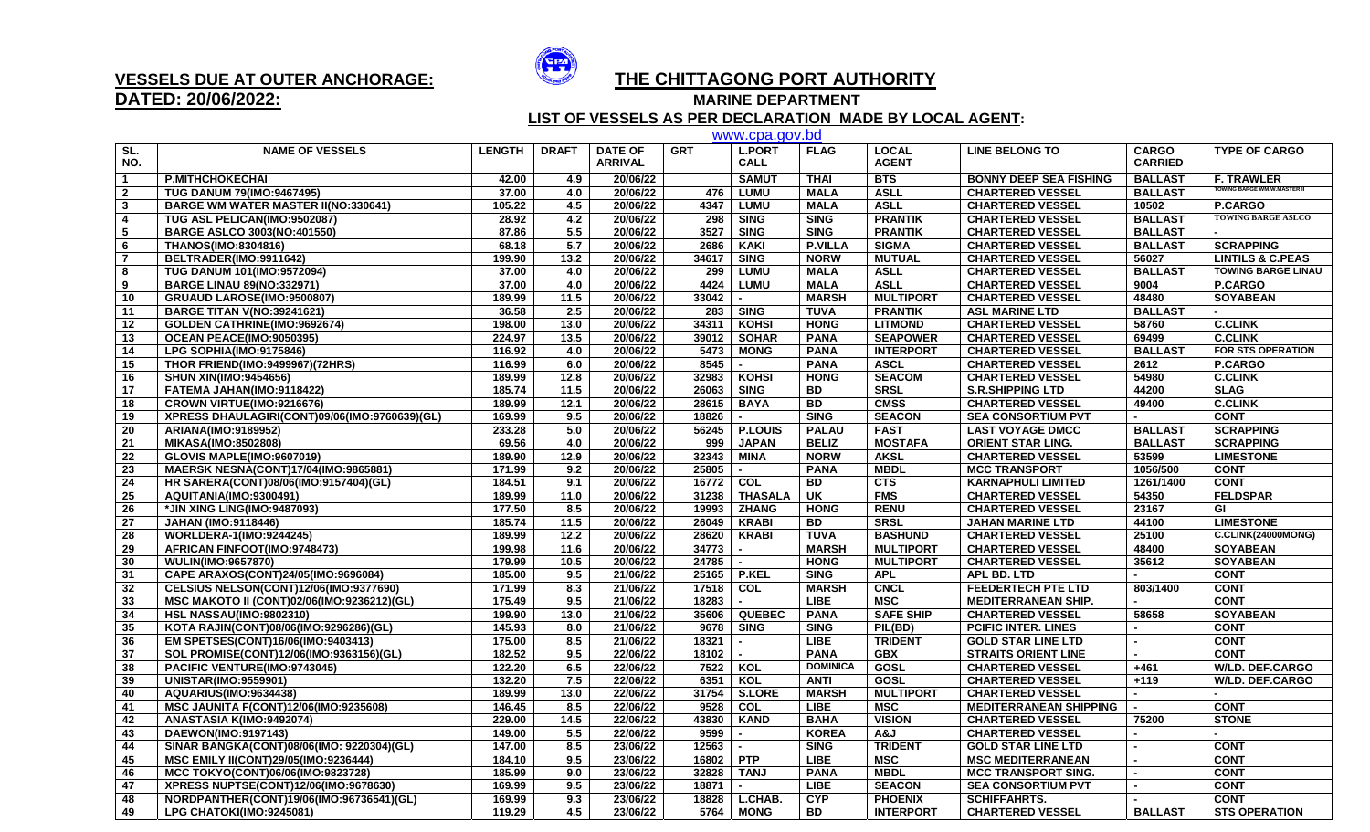

## **DATED: 20/06/2022:**

## **VESSELS DUE AT OUTER ANCHORAGE: THE CHITTAGONG PORT AUTHORITY**

**MARINE DEPARTMENT** 

 **LIST OF VESSELS AS PER DECLARATION MADE BY LOCAL AGENT:**

| www.cpa.gov.bd          |                                               |               |              |                |            |                          |                 |                  |                               |                |                             |  |
|-------------------------|-----------------------------------------------|---------------|--------------|----------------|------------|--------------------------|-----------------|------------------|-------------------------------|----------------|-----------------------------|--|
| SL.                     | <b>NAME OF VESSELS</b>                        | <b>LENGTH</b> | <b>DRAFT</b> | <b>DATE OF</b> | <b>GRT</b> | <b>L.PORT</b>            | <b>FLAG</b>     | <b>LOCAL</b>     | <b>LINE BELONG TO</b>         | <b>CARGO</b>   | <b>TYPE OF CARGO</b>        |  |
| NO.                     |                                               |               |              | <b>ARRIVAL</b> |            | <b>CALL</b>              |                 | <b>AGENT</b>     |                               | <b>CARRIED</b> |                             |  |
| $\overline{\mathbf{1}}$ | <b>P.MITHCHOKECHAI</b>                        | 42.00         | 4.9          | 20/06/22       |            | <b>SAMUT</b>             | <b>THAI</b>     | <b>BTS</b>       | <b>BONNY DEEP SEA FISHING</b> | <b>BALLAST</b> | <b>F. TRAWLER</b>           |  |
| $\overline{\mathbf{2}}$ | <b>TUG DANUM 79(IMO:9467495)</b>              | 37.00         | 4.0          | 20/06/22       | 476        | <b>LUMU</b>              | <b>MALA</b>     | <b>ASLL</b>      | <b>CHARTERED VESSEL</b>       | <b>BALLAST</b> | TOWING BARGE WM.W.MASTER II |  |
| $\mathbf{3}$            | <b>BARGE WM WATER MASTER II(NO:330641)</b>    | 105.22        | 4.5          | 20/06/22       | 4347       | <b>LUMU</b>              | <b>MALA</b>     | <b>ASLL</b>      | <b>CHARTERED VESSEL</b>       | 10502          | P.CARGO                     |  |
| 4                       | TUG ASL PELICAN(IMO:9502087)                  | 28.92         | 4.2          | 20/06/22       | 298        | <b>SING</b>              | <b>SING</b>     | <b>PRANTIK</b>   | <b>CHARTERED VESSEL</b>       | <b>BALLAST</b> | <b>TOWING BARGE ASLCO</b>   |  |
| 5                       | <b>BARGE ASLCO 3003(NO:401550)</b>            | 87.86         | 5.5          | 20/06/22       | 3527       | <b>SING</b>              | <b>SING</b>     | <b>PRANTIK</b>   | <b>CHARTERED VESSEL</b>       | <b>BALLAST</b> |                             |  |
| - 6                     | <b>THANOS(IMO:8304816)</b>                    | 68.18         | 5.7          | 20/06/22       | 2686       | <b>KAKI</b>              | <b>P.VILLA</b>  | <b>SIGMA</b>     | <b>CHARTERED VESSEL</b>       | <b>BALLAST</b> | <b>SCRAPPING</b>            |  |
| $\overline{7}$          | BELTRADER(IMO:9911642)                        | 199.90        | 13.2         | 20/06/22       | 34617      | <b>SING</b>              | <b>NORW</b>     | <b>MUTUAL</b>    | <b>CHARTERED VESSEL</b>       | 56027          | <b>LINTILS &amp; C.PEAS</b> |  |
| 8                       | <b>TUG DANUM 101(IMO:9572094)</b>             | 37.00         | 4.0          | 20/06/22       | 299        | <b>LUMU</b>              | <b>MALA</b>     | <b>ASLL</b>      | <b>CHARTERED VESSEL</b>       | <b>BALLAST</b> | <b>TOWING BARGE LINAU</b>   |  |
| 9                       | <b>BARGE LINAU 89(NO:332971)</b>              | 37.00         | 4.0          | 20/06/22       | 4424       | <b>LUMU</b>              | <b>MALA</b>     | <b>ASLL</b>      | <b>CHARTERED VESSEL</b>       | 9004           | P.CARGO                     |  |
| 10                      | GRUAUD LAROSE(IMO:9500807)                    | 189.99        | 11.5         | 20/06/22       | 33042      |                          | <b>MARSH</b>    | <b>MULTIPORT</b> | <b>CHARTERED VESSEL</b>       | 48480          | <b>SOYABEAN</b>             |  |
| 11                      | <b>BARGE TITAN V(NO:39241621)</b>             | 36.58         | 2.5          | 20/06/22       | 283        | <b>SING</b>              | <b>TUVA</b>     | <b>PRANTIK</b>   | <b>ASL MARINE LTD</b>         | <b>BALLAST</b> |                             |  |
| 12                      | GOLDEN CATHRINE(IMO:9692674)                  | 198.00        | 13.0         | 20/06/22       | 34311      | <b>KOHSI</b>             | <b>HONG</b>     | <b>LITMOND</b>   | <b>CHARTERED VESSEL</b>       | 58760          | <b>C.CLINK</b>              |  |
| 13                      | OCEAN PEACE(IMO:9050395)                      | 224.97        | 13.5         | 20/06/22       | 39012      | <b>SOHAR</b>             | <b>PANA</b>     | <b>SEAPOWER</b>  | <b>CHARTERED VESSEL</b>       | 69499          | <b>C.CLINK</b>              |  |
| 14                      | <b>LPG SOPHIA(IMO:9175846)</b>                | 116.92        | 4.0          | 20/06/22       | 5473       | <b>MONG</b>              | <b>PANA</b>     | <b>INTERPORT</b> | <b>CHARTERED VESSEL</b>       | <b>BALLAST</b> | <b>FOR STS OPERATION</b>    |  |
| 15                      | THOR FRIEND(IMO:9499967)(72HRS)               | 116.99        | 6.0          | 20/06/22       | 8545       |                          | <b>PANA</b>     | <b>ASCL</b>      | <b>CHARTERED VESSEL</b>       | 2612           | <b>P.CARGO</b>              |  |
| 16                      | <b>SHUN XIN(IMO:9454656)</b>                  | 189.99        | 12.8         | 20/06/22       | 32983      | <b>KOHSI</b>             | <b>HONG</b>     | <b>SEACOM</b>    | <b>CHARTERED VESSEL</b>       | 54980          | <b>C.CLINK</b>              |  |
| 17                      | FATEMA JAHAN(IMO:9118422)                     | 185.74        | 11.5         | 20/06/22       | 26063      | <b>SING</b>              | <b>BD</b>       | <b>SRSL</b>      | <b>S.R.SHIPPING LTD</b>       | 44200          | <b>SLAG</b>                 |  |
| 18                      | CROWN VIRTUE(IMO:9216676)                     | 189.99        | 12.1         | 20/06/22       | 28615      | <b>BAYA</b>              | BD              | <b>CMSS</b>      | <b>CHARTERED VESSEL</b>       | 49400          | <b>C.CLINK</b>              |  |
| 19                      | XPRESS DHAULAGIRI(CONT)09/06(IMO:9760639)(GL) | 169.99        | 9.5          | 20/06/22       | 18826      |                          | <b>SING</b>     | <b>SEACON</b>    | <b>SEA CONSORTIUM PVT</b>     |                | <b>CONT</b>                 |  |
| 20                      | ARIANA(IMO:9189952)                           | 233.28        | 5.0          | 20/06/22       | 56245      | <b>P.LOUIS</b>           | <b>PALAU</b>    | <b>FAST</b>      | <b>LAST VOYAGE DMCC</b>       | <b>BALLAST</b> | <b>SCRAPPING</b>            |  |
| 21                      | <b>MIKASA(IMO:8502808)</b>                    | 69.56         | 4.0          | 20/06/22       | 999        | <b>JAPAN</b>             | <b>BELIZ</b>    | <b>MOSTAFA</b>   | <b>ORIENT STAR LING.</b>      | <b>BALLAST</b> | <b>SCRAPPING</b>            |  |
| 22                      | GLOVIS MAPLE(IMO:9607019)                     | 189.90        | 12.9         | 20/06/22       | 32343      | MINA                     | <b>NORW</b>     | <b>AKSL</b>      | <b>CHARTERED VESSEL</b>       | 53599          | <b>LIMESTONE</b>            |  |
| 23                      | <b>MAERSK NESNA(CONT)17/04(IMO:9865881)</b>   | 171.99        | 9.2          | 20/06/22       | 25805      |                          | <b>PANA</b>     | <b>MBDL</b>      | <b>MCC TRANSPORT</b>          | 1056/500       | <b>CONT</b>                 |  |
| 24                      | HR SARERA(CONT)08/06(IMO:9157404)(GL)         | 184.51        | 9.1          | 20/06/22       | 16772 COL  |                          | <b>BD</b>       | <b>CTS</b>       | <b>KARNAPHULI LIMITED</b>     | 1261/1400      | <b>CONT</b>                 |  |
| 25                      | AQUITANIA(IMO:9300491)                        | 189.99        | 11.0         | 20/06/22       | 31238      | <b>THASALA</b>           | UK              | <b>FMS</b>       | <b>CHARTERED VESSEL</b>       | 54350          | <b>FELDSPAR</b>             |  |
| 26                      | *JIN XING LING(IMO:9487093)                   | 177.50        | 8.5          | 20/06/22       | 19993      | <b>ZHANG</b>             | <b>HONG</b>     | <b>RENU</b>      | <b>CHARTERED VESSEL</b>       | 23167          | GI                          |  |
| 27                      | <b>JAHAN (IMO:9118446)</b>                    | 185.74        | 11.5         | 20/06/22       | 26049      | <b>KRABI</b>             | <b>BD</b>       | <b>SRSL</b>      | <b>JAHAN MARINE LTD</b>       | 44100          | <b>LIMESTONE</b>            |  |
| 28                      | <b>WORLDERA-1(IMO:9244245)</b>                | 189.99        | 12.2         | 20/06/22       | 28620      | <b>KRABI</b>             | <b>TUVA</b>     | <b>BASHUND</b>   | <b>CHARTERED VESSEL</b>       | 25100          | <b>C.CLINK(24000MONG)</b>   |  |
| 29                      | AFRICAN FINFOOT(IMO:9748473)                  | 199.98        | 11.6         | 20/06/22       | 34773      |                          | <b>MARSH</b>    | <b>MULTIPORT</b> | <b>CHARTERED VESSEL</b>       | 48400          | <b>SOYABEAN</b>             |  |
| 30                      | <b>WULIN(IMO:9657870)</b>                     | 179.99        | 10.5         | 20/06/22       | 24785      | $\overline{\phantom{a}}$ | <b>HONG</b>     | <b>MULTIPORT</b> | <b>CHARTERED VESSEL</b>       | 35612          | <b>SOYABEAN</b>             |  |
| 31                      | CAPE ARAXOS(CONT)24/05(IMO:9696084)           | 185.00        | 9.5          | 21/06/22       |            | 25165   P.KEL            | <b>SING</b>     | <b>APL</b>       | <b>APL BD. LTD</b>            |                | <b>CONT</b>                 |  |
| 32                      | CELSIUS NELSON(CONT)12/06(IMO:9377690)        | 171.99        | 8.3          | 21/06/22       | 17518 COL  |                          | <b>MARSH</b>    | <b>CNCL</b>      | <b>FEEDERTECH PTE LTD</b>     | 803/1400       | <b>CONT</b>                 |  |
| 33                      | MSC MAKOTO II (CONT)02/06(IMO:9236212)(GL)    | 175.49        | 9.5          | 21/06/22       | 18283      |                          | <b>LIBE</b>     | <b>MSC</b>       | <b>MEDITERRANEAN SHIP.</b>    |                | <b>CONT</b>                 |  |
| 34                      | <b>HSL NASSAU(IMO:9802310)</b>                | 199.90        | 13.0         | 21/06/22       | 35606      | <b>QUEBEC</b>            | <b>PANA</b>     | <b>SAFE SHIP</b> | <b>CHARTERED VESSEL</b>       | 58658          | <b>SOYABEAN</b>             |  |
| 35                      | KOTA RAJIN(CONT)08/06(IMO:9296286)(GL)        | 145.93        | 8.0          | 21/06/22       | 9678       | <b>SING</b>              | <b>SING</b>     | PIL(BD)          | <b>PCIFIC INTER. LINES</b>    | $\overline{a}$ | <b>CONT</b>                 |  |
| 36                      | EM SPETSES(CONT)16/06(IMO:9403413)            | 175.00        | 8.5          | 21/06/22       | 18321      |                          | <b>LIBE</b>     | <b>TRIDENT</b>   | <b>GOLD STAR LINE LTD</b>     | $\sim$         | <b>CONT</b>                 |  |
| 37                      | SOL PROMISE(CONT)12/06(IMO:9363156)(GL)       | 182.52        | 9.5          | 22/06/22       | 18102      | $\sim$                   | <b>PANA</b>     | <b>GBX</b>       | <b>STRAITS ORIENT LINE</b>    | $\blacksquare$ | <b>CONT</b>                 |  |
| 38                      | PACIFIC VENTURE(IMO:9743045)                  | 122.20        | 6.5          | 22/06/22       | 7522       | KOL                      | <b>DOMINICA</b> | GOSL             | <b>CHARTERED VESSEL</b>       | $+461$         | <b>W/LD. DEF.CARGO</b>      |  |
| 39                      | <b>UNISTAR(IMO:9559901)</b>                   | 132.20        | 7.5          | 22/06/22       | 6351       | KOL                      | <b>ANTI</b>     | GOSL             | <b>CHARTERED VESSEL</b>       | $+119$         | W/LD. DEF.CARGO             |  |
| 40                      | AQUARIUS(IMO:9634438)                         | 189.99        | 13.0         | 22/06/22       | 31754      | <b>S.LORE</b>            | <b>MARSH</b>    | <b>MULTIPORT</b> | <b>CHARTERED VESSEL</b>       |                |                             |  |
| 41                      | <b>MSC JAUNITA F(CONT)12/06(IMO:9235608)</b>  | 146.45        | 8.5          | 22/06/22       | 9528       | COL                      | <b>LIBE</b>     | <b>MSC</b>       | <b>MEDITERRANEAN SHIPPING</b> |                | <b>CONT</b>                 |  |
| 42                      | ANASTASIA K(IMO:9492074)                      | 229.00        | 14.5         | 22/06/22       | 43830      | <b>KAND</b>              | <b>BAHA</b>     | <b>VISION</b>    | <b>CHARTERED VESSEL</b>       | 75200          | <b>STONE</b>                |  |
| 43                      | DAEWON(IMO:9197143)                           | 149.00        | 5.5          | 22/06/22       | 9599       |                          | <b>KOREA</b>    | L&A              | <b>CHARTERED VESSEL</b>       | $\blacksquare$ | $\blacksquare$              |  |
| 44                      | SINAR BANGKA(CONT)08/06(IMO: 9220304)(GL)     | 147.00        | 8.5          | 23/06/22       | 12563      |                          | <b>SING</b>     | <b>TRIDENT</b>   | <b>GOLD STAR LINE LTD</b>     | $\blacksquare$ | <b>CONT</b>                 |  |
| 45                      | MSC EMILY II(CONT)29/05(IMO:9236444)          | 184.10        | 9.5          | 23/06/22       | 16802      | <b>PTP</b>               | <b>LIBE</b>     | <b>MSC</b>       | <b>MSC MEDITERRANEAN</b>      | $\blacksquare$ | <b>CONT</b>                 |  |
| 46                      | MCC TOKYO(CONT)06/06(IMO:9823728)             | 185.99        | 9.0          | 23/06/22       | 32828      | <b>TANJ</b>              | <b>PANA</b>     | <b>MBDL</b>      | <b>MCC TRANSPORT SING.</b>    |                | <b>CONT</b>                 |  |
| 47                      | XPRESS NUPTSE(CONT)12/06(IMO:9678630)         | 169.99        | 9.5          | 23/06/22       | 18871      |                          | <b>LIBE</b>     | <b>SEACON</b>    | <b>SEA CONSORTIUM PVT</b>     |                | <b>CONT</b>                 |  |
| 48                      | NORDPANTHER(CONT)19/06(IMO:96736541)(GL)      | 169.99        | 9.3          | 23/06/22       | 18828      | L.CHAB.                  | <b>CYP</b>      | <b>PHOENIX</b>   | <b>SCHIFFAHRTS.</b>           |                | <b>CONT</b>                 |  |
| 49                      | LPG CHATOKI(IMO:9245081)                      | 119.29        | 4.5          | 23/06/22       | 5764       | <b>MONG</b>              | <b>BD</b>       | <b>INTERPORT</b> | <b>CHARTERED VESSEL</b>       | <b>BALLAST</b> | <b>STS OPERATION</b>        |  |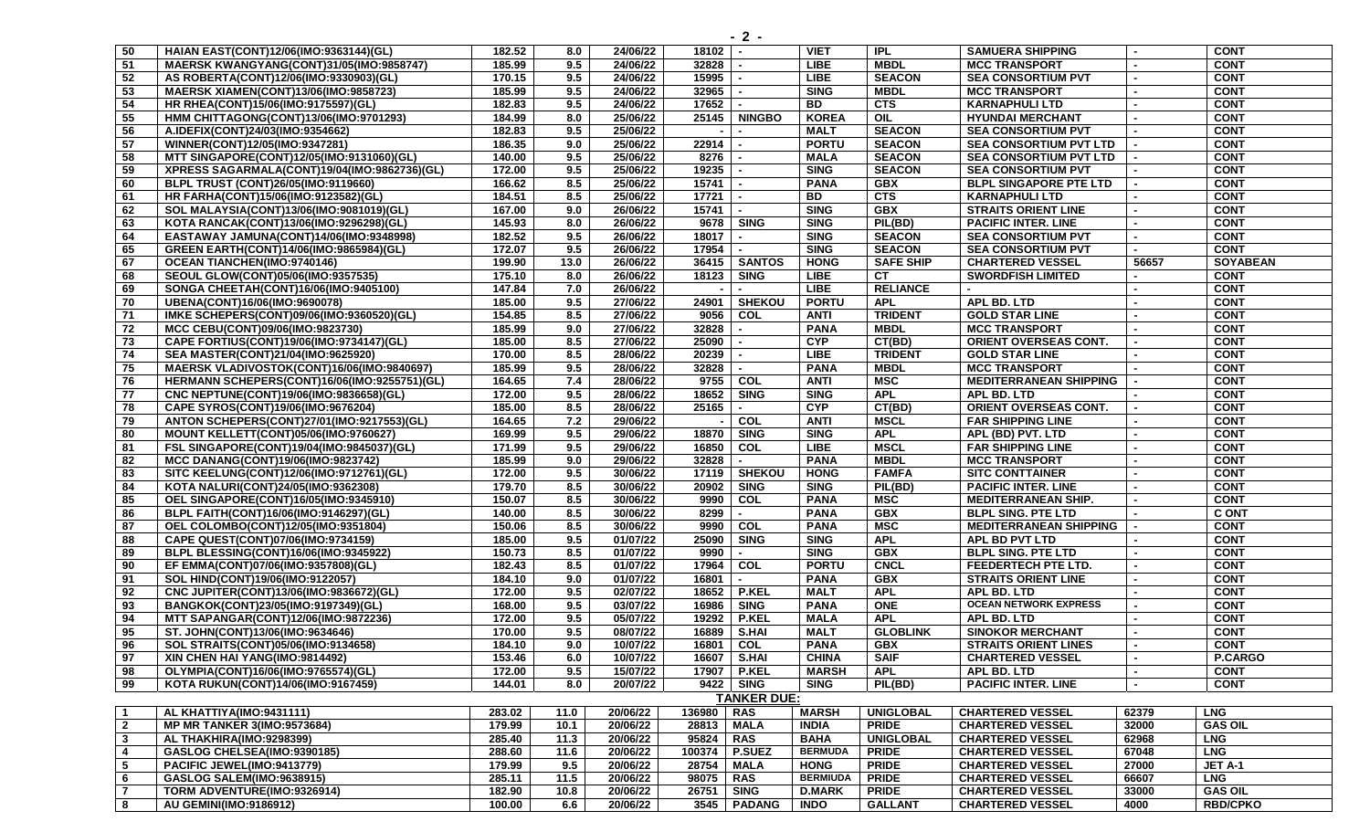| 50                      | HAIAN EAST(CONT)12/06(IMO:9363144)(GL)       | 182.52 | 8.0              | 24/06/22 | 18102      |                          | <b>VIET</b>     | <b>IPL</b>       | <b>SAMUERA SHIPPING</b>       |                | <b>CONT</b>     |
|-------------------------|----------------------------------------------|--------|------------------|----------|------------|--------------------------|-----------------|------------------|-------------------------------|----------------|-----------------|
| $-51$                   | MAERSK KWANGYANG(CONT)31/05(IMO:9858747)     | 185.99 | 9.5              | 24/06/22 | 32828      |                          | LIBE.           | <b>MBDL</b>      | <b>MCC TRANSPORT</b>          |                | <b>CONT</b>     |
| 52                      | AS ROBERTA(CONT)12/06(IMO:9330903)(GL)       | 170.15 | 9.5              | 24/06/22 | 15995      |                          | <b>LIBE</b>     | <b>SEACON</b>    | <b>SEA CONSORTIUM PVT</b>     |                | <b>CONT</b>     |
| 53                      | <b>MAERSK XIAMEN(CONT)13/06(IMO:9858723)</b> | 185.99 | 9.5              | 24/06/22 | 32965      |                          | <b>SING</b>     | <b>MBDL</b>      | <b>MCC TRANSPORT</b>          |                | <b>CONT</b>     |
| 54                      | HR RHEA(CONT)15/06(IMO:9175597)(GL)          | 182.83 | 9.5              | 24/06/22 | 17652      |                          | <b>BD</b>       | <b>CTS</b>       | <b>KARNAPHULI LTD</b>         |                | <b>CONT</b>     |
| 55                      | HMM CHITTAGONG(CONT)13/06(IMO:9701293)       | 184.99 | 8.0              | 25/06/22 |            | 25145   NINGBO           | <b>KOREA</b>    | OIL              | <b>HYUNDAI MERCHANT</b>       |                | <b>CONT</b>     |
| 56                      | A.IDEFIX(CONT)24/03(IMO:9354662)             | 182.83 | 9.5              | 25/06/22 |            |                          | <b>MALT</b>     | <b>SEACON</b>    | <b>SEA CONSORTIUM PVT</b>     |                | <b>CONT</b>     |
| 57                      | WINNER(CONT)12/05(IMO:9347281)               | 186.35 | 9.0              | 25/06/22 | 22914      |                          | <b>PORTU</b>    | <b>SEACON</b>    | <b>SEA CONSORTIUM PVT LTD</b> |                | <b>CONT</b>     |
| 58                      | MTT SINGAPORE(CONT)12/05(IMO:9131060)(GL)    | 140.00 | 9.5              | 25/06/22 | 8276       |                          | <b>MALA</b>     | <b>SEACON</b>    | <b>SEA CONSORTIUM PVT LTD</b> |                | <b>CONT</b>     |
| $\overline{59}$         | XPRESS SAGARMALA(CONT)19/04(IMO:9862736)(GL) | 172.00 | 9.5              | 25/06/22 | 19235      |                          | <b>SING</b>     | <b>SEACON</b>    | <b>SEA CONSORTIUM PVT</b>     |                | <b>CONT</b>     |
| 60                      | BLPL TRUST (CONT)26/05(IMO:9119660)          | 166.62 | 8.5              | 25/06/22 | 15741      |                          | <b>PANA</b>     | <b>GBX</b>       | <b>BLPL SINGAPORE PTE LTD</b> |                | <b>CONT</b>     |
| 61                      | HR FARHA(CONT)15/06(IMO:9123582)(GL)         | 184.51 | 8.5              | 25/06/22 | 17721      |                          | <b>BD</b>       | <b>CTS</b>       | <b>KARNAPHULI LTD</b>         |                | <b>CONT</b>     |
| 62                      | SOL MALAYSIA(CONT)13/06(IMO:9081019)(GL)     | 167.00 | 9.0              | 26/06/22 | 15741      |                          | <b>SING</b>     | <b>GBX</b>       | <b>STRAITS ORIENT LINE</b>    |                | <b>CONT</b>     |
| 63                      | KOTA RANCAK(CONT)13/06(IMO:9296298)(GL)      | 145.93 | 8.0              | 26/06/22 |            | 9678 SING                | <b>SING</b>     | PIL(BD)          | <b>PACIFIC INTER. LINE</b>    |                | <b>CONT</b>     |
| 64                      | EASTAWAY JAMUNA(CONT)14/06(IMO:9348998)      | 182.52 | 9.5              | 26/06/22 | 18017      |                          | <b>SING</b>     | <b>SEACON</b>    | <b>SEA CONSORTIUM PVT</b>     |                | <b>CONT</b>     |
| 65                      | GREEN EARTH(CONT)14/06(IMO:9865984)(GL)      | 172.07 | 9.5              | 26/06/22 | 17954      |                          | <b>SING</b>     | <b>SEACON</b>    | <b>SEA CONSORTIUM PVT</b>     |                | <b>CONT</b>     |
| 67                      | <b>OCEAN TIANCHEN(IMO:9740146)</b>           | 199.90 | 13.0             | 26/06/22 |            | 36415   SANTOS           | <b>HONG</b>     | <b>SAFE SHIP</b> | <b>CHARTERED VESSEL</b>       | 56657          | <b>SOYABEAN</b> |
| 68                      | SEOUL GLOW(CONT)05/06(IMO:9357535)           | 175.10 | 8.0              | 26/06/22 | 18123      | <b>SING</b>              | <b>LIBE</b>     | <b>CT</b>        | <b>SWORDFISH LIMITED</b>      | $\blacksquare$ | <b>CONT</b>     |
| 69                      | SONGA CHEETAH(CONT)16/06(IMO:9405100)        | 147.84 | 7.0              | 26/06/22 |            |                          | <b>LIBE</b>     | <b>RELIANCE</b>  |                               |                | <b>CONT</b>     |
| 70                      | UBENA(CONT)16/06(IMO:9690078)                | 185.00 | 9.5              | 27/06/22 |            | 24901   SHEKOU           | <b>PORTU</b>    | <b>APL</b>       | APL BD. LTD                   |                | <b>CONT</b>     |
| 71                      | IMKE SCHEPERS(CONT)09/06(IMO:9360520)(GL)    | 154.85 | 8.5              | 27/06/22 |            | 9056 COL                 | <b>ANTI</b>     | <b>TRIDENT</b>   | <b>GOLD STAR LINE</b>         |                | <b>CONT</b>     |
| 72                      | MCC CEBU(CONT)09/06(IMO:9823730)             | 185.99 | 9.0              | 27/06/22 | 32828      | $\overline{\phantom{a}}$ | <b>PANA</b>     | <b>MBDL</b>      | <b>MCC TRANSPORT</b>          |                | <b>CONT</b>     |
| 73                      | CAPE FORTIUS(CONT)19/06(IMO:9734147)(GL)     | 185.00 | 8.5              | 27/06/22 | 25090      |                          | <b>CYP</b>      | CT(BD)           | ORIENT OVERSEAS CONT.         |                | <b>CONT</b>     |
| 74                      | SEA MASTER(CONT)21/04(IMO:9625920)           | 170.00 | 8.5              | 28/06/22 | 20239      |                          | <b>LIBE</b>     | <b>TRIDENT</b>   | <b>GOLD STAR LINE</b>         |                | <b>CONT</b>     |
| 75                      | MAERSK VLADIVOSTOK(CONT)16/06(IMO:9840697)   | 185.99 | 9.5              | 28/06/22 | 32828      |                          | <b>PANA</b>     | <b>MBDL</b>      | <b>MCC TRANSPORT</b>          |                | <b>CONT</b>     |
| 76                      | HERMANN SCHEPERS(CONT)16/06(IMO:9255751)(GL) | 164.65 | 7.4              | 28/06/22 |            | 9755 COL                 | <b>ANTI</b>     | MSC              | <b>MEDITERRANEAN SHIPPING</b> |                | <b>CONT</b>     |
| 77                      | CNC NEPTUNE(CONT)19/06(IMO:9836658)(GL)      | 172.00 | 9.5              | 28/06/22 | 18652 SING |                          | <b>SING</b>     | <b>APL</b>       | APL BD. LTD                   |                | <b>CONT</b>     |
| 78                      | CAPE SYROS(CONT)19/06(IMO:9676204)           | 185.00 | 8.5              | 28/06/22 | 25165      |                          | <b>CYP</b>      | CT(BD)           | ORIENT OVERSEAS CONT.         |                | <b>CONT</b>     |
| 79                      | ANTON SCHEPERS(CONT)27/01(IMO:9217553)(GL)   | 164.65 | 7.2              | 29/06/22 |            | <b>COL</b>               | <b>ANTI</b>     | <b>MSCL</b>      | <b>FAR SHIPPING LINE</b>      |                | <b>CONT</b>     |
| 80                      | <b>MOUNT KELLETT(CONT)05/06(IMO:9760627)</b> | 169.99 | 9.5              | 29/06/22 | 18870      | <b>SING</b>              | <b>SING</b>     | <b>APL</b>       | APL (BD) PVT. LTD             |                | <b>CONT</b>     |
| 81                      | FSL SINGAPORE(CONT)19/04(IMO:9845037)(GL)    | 171.99 | 9.5              | 29/06/22 | 16850      | <b>COL</b>               | <b>LIBE</b>     | <b>MSCL</b>      | <b>FAR SHIPPING LINE</b>      |                | <b>CONT</b>     |
| 82                      | <b>MCC DANANG(CONT)19/06(IMO:9823742)</b>    | 185.99 | 9.0              | 29/06/22 | 32828      |                          | <b>PANA</b>     | <b>MBDL</b>      | <b>MCC TRANSPORT</b>          |                | <b>CONT</b>     |
| 83                      | SITC KEELUNG(CONT)12/06(IMO:9712761)(GL)     | 172.00 | 9.5              | 30/06/22 |            | 17119   SHEKOU           | <b>HONG</b>     | <b>FAMFA</b>     | <b>SITC CONTTAINER</b>        |                | <b>CONT</b>     |
| 84                      | KOTA NALURI(CONT)24/05(IMO:9362308)          | 179.70 | 8.5              | 30/06/22 |            | 20902 SING               | <b>SING</b>     | PIL(BD)          | <b>PACIFIC INTER. LINE</b>    |                | <b>CONT</b>     |
| 85                      | OEL SINGAPORE(CONT)16/05(IMO:9345910)        | 150.07 | 8.5              | 30/06/22 | 9990       | <b>COL</b>               | <b>PANA</b>     | <b>MSC</b>       | <b>MEDITERRANEAN SHIP.</b>    |                | <b>CONT</b>     |
| 86                      | BLPL FAITH(CONT)16/06(IMO:9146297)(GL)       | 140.00 | 8.5              | 30/06/22 | 8299       |                          | <b>PANA</b>     | <b>GBX</b>       | <b>BLPL SING. PTE LTD</b>     |                | <b>C ONT</b>    |
| $\overline{87}$         | OEL COLOMBO(CONT)12/05(IMO:9351804)          | 150.06 | 8.5              | 30/06/22 |            | 9990 COL                 | <b>PANA</b>     | <b>MSC</b>       | <b>MEDITERRANEAN SHIPPING</b> |                | <b>CONT</b>     |
| 88                      | CAPE QUEST(CONT)07/06(IMO:9734159)           | 185.00 | 9.5              | 01/07/22 |            | 25090 SING               | <b>SING</b>     | <b>APL</b>       | APL BD PVT LTD                |                | <b>CONT</b>     |
| 89                      | BLPL BLESSING(CONT)16/06(IMO:9345922)        | 150.73 | 8.5              | 01/07/22 | 9990       |                          | <b>SING</b>     | GBX              | <b>BLPL SING. PTE LTD</b>     |                | <b>CONT</b>     |
| 90                      | EF EMMA(CONT)07/06(IMO:9357808)(GL)          | 182.43 | 8.5              | 01/07/22 | 17964 COL  |                          | <b>PORTU</b>    | <b>CNCL</b>      | FEEDERTECH PTE LTD.           |                | <b>CONT</b>     |
| 91                      | SOL HIND(CONT)19/06(IMO:9122057)             | 184.10 | 9.0              | 01/07/22 | 16801      |                          | <b>PANA</b>     | <b>GBX</b>       | <b>STRAITS ORIENT LINE</b>    |                | <b>CONT</b>     |
| 92                      | CNC JUPITER(CONT)13/06(IMO:9836672)(GL)      | 172.00 | 9.5              | 02/07/22 |            | 18652 P.KEL              | <b>MALT</b>     | <b>APL</b>       | APL BD. LTD                   |                | <b>CONT</b>     |
| 93                      | BANGKOK(CONT)23/05(IMO:9197349)(GL)          | 168.00 | 9.5              | 03/07/22 | 16986      | <b>SING</b>              | <b>PANA</b>     | <b>ONE</b>       | <b>OCEAN NETWORK EXPRESS</b>  |                | <b>CONT</b>     |
| 94                      | MTT SAPANGAR(CONT)12/06(IMO:9872236)         | 172.00 | 9.5              | 05/07/22 | 19292      | <b>P.KEL</b>             | <b>MALA</b>     | <b>APL</b>       | APL BD. LTD                   |                | <b>CONT</b>     |
| 95                      | ST. JOHN(CONT)13/06(IMO:9634646)             | 170.00 | 9.5              | 08/07/22 | 16889      | S.HAI                    | <b>MALT</b>     | <b>GLOBLINK</b>  | <b>SINOKOR MERCHANT</b>       |                | <b>CONT</b>     |
| 96                      | SOL STRAITS(CONT)05/06(IMO:9134658)          | 184.10 | 9.0              | 10/07/22 | 16801      | <b>COL</b>               | <b>PANA</b>     | <b>GBX</b>       | <b>STRAITS ORIENT LINES</b>   |                | <b>CONT</b>     |
| 97                      | XIN CHEN HAI YANG(IMO:9814492)               | 153.46 | 6.0              | 10/07/22 |            | 16607   S.HAI            | <b>CHINA</b>    | <b>SAIF</b>      | <b>CHARTERED VESSEL</b>       | $\blacksquare$ | P.CARGO         |
| 98                      | OLYMPIA(CONT)16/06(IMO:9765574)(GL)          | 172.00 | 9.5              | 15/07/22 |            | 17907 P.KEL              | <b>MARSH</b>    | <b>APL</b>       | APL BD. LTD                   | $\blacksquare$ | <b>CONT</b>     |
| 99                      | KOTA RUKUN(CONT)14/06(IMO:9167459)           | 144.01 | 8.0              | 20/07/22 |            | 9422 SING                | <b>SING</b>     | PIL(BD)          | <b>PACIFIC INTER. LINE</b>    |                | <b>CONT</b>     |
|                         |                                              |        |                  |          |            | <b>TANKER DUE:</b>       |                 |                  |                               |                |                 |
| $\overline{1}$          | AL KHATTIYA(IMO:9431111)                     | 283.02 | 11.0             | 20/06/22 | 136980 RAS |                          | <b>MARSH</b>    | <b>UNIGLOBAL</b> | <b>CHARTERED VESSEL</b>       | 62379          | <b>LNG</b>      |
| $\overline{\mathbf{2}}$ | <b>MP MR TANKER 3(IMO:9573684)</b>           | 179.99 | 10.1             | 20/06/22 | 28813      | <b>MALA</b>              | <b>INDIA</b>    | <b>PRIDE</b>     | <b>CHARTERED VESSEL</b>       | 32000          | <b>GAS OIL</b>  |
| $\overline{\mathbf{3}}$ | AL THAKHIRA(IMO:9298399)                     | 285.40 | 11.3             | 20/06/22 | 95824      | <b>RAS</b>               | <b>BAHA</b>     | <b>UNIGLOBAL</b> | <b>CHARTERED VESSEL</b>       | 62968          | <b>LNG</b>      |
| $\overline{4}$          | GASLOG CHELSEA(IMO:9390185)                  | 288.60 | $\frac{11.6}{2}$ | 20/06/22 | 100374     | P.SUEZ                   | <b>BERMUDA</b>  | <b>PRIDE</b>     | <b>CHARTERED VESSEL</b>       | 67048          | <b>LNG</b>      |
| 5                       | PACIFIC JEWEL(IMO:9413779)                   | 179.99 | 9.5              | 20/06/22 | 28754      | <b>MALA</b>              | <b>HONG</b>     | <b>PRIDE</b>     | <b>CHARTERED VESSEL</b>       | 27000          | JET A-1         |
| 6                       | <b>GASLOG SALEM(IMO:9638915)</b>             | 285.11 | 11.5             | 20/06/22 | 98075 RAS  |                          | <b>BERMIUDA</b> | <b>PRIDE</b>     | <b>CHARTERED VESSEL</b>       | 66607          | <b>LNG</b>      |
| $\overline{7}$          | TORM ADVENTURE(IMO:9326914)                  | 182.90 | 10.8             | 20/06/22 | 26751 SING |                          | <b>D.MARK</b>   | <b>PRIDE</b>     | <b>CHARTERED VESSEL</b>       | 33000          | <b>GAS OIL</b>  |
| $\vert$ 8               | <b>AU GEMINI(IMO:9186912)</b>                | 100.00 |                  | 20/06/22 |            | 3545   PADANG            | <b>INDO</b>     | <b>GALLANT</b>   | <b>CHARTERED VESSEL</b>       | 4000           | <b>RBD/CPKO</b> |
|                         |                                              |        | 6.6              |          |            |                          |                 |                  |                               |                |                 |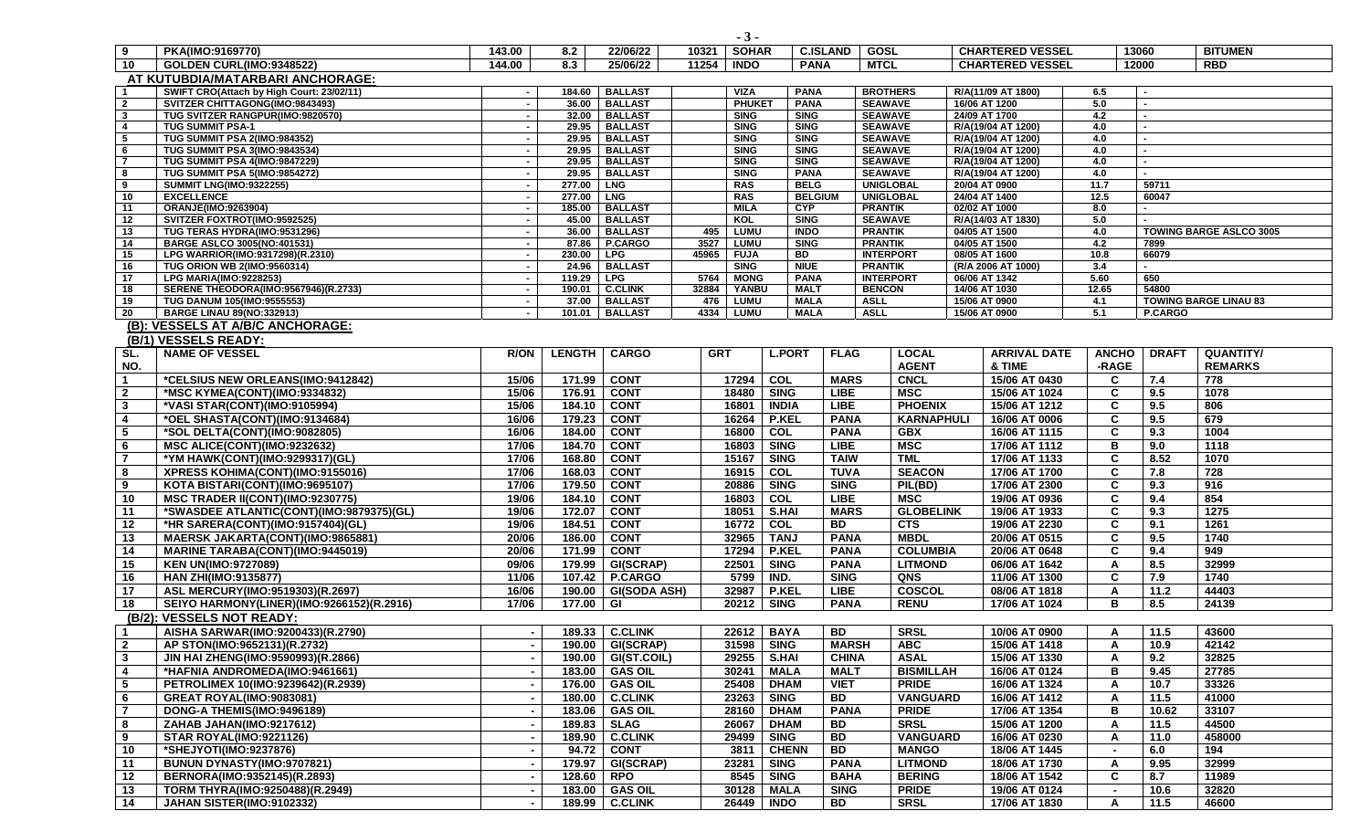|                     |                                                                              |                  |                  |                                  |            | $-3-$                      |                            |                            |                                      |                       |                                |                                |              |                          |                                |
|---------------------|------------------------------------------------------------------------------|------------------|------------------|----------------------------------|------------|----------------------------|----------------------------|----------------------------|--------------------------------------|-----------------------|--------------------------------|--------------------------------|--------------|--------------------------|--------------------------------|
| 9                   | PKA(IMO:9169770)                                                             | 143.00           | 8.2              | 22/06/22                         | 10321      | <b>SOHAR</b>               |                            | <b>C.ISLAND</b>            | GOSL                                 |                       |                                | <b>CHARTERED VESSEL</b>        |              | 13060                    | <b>BITUMEN</b>                 |
| 10                  | <b>GOLDEN CURL(IMO:9348522)</b>                                              | 144.00           | 8.3              | 25/06/22                         | 11254      | <b>INDO</b>                | <b>PANA</b>                |                            | <b>MTCL</b>                          |                       |                                | <b>CHARTERED VESSEL</b>        |              | 12000                    | <b>RBD</b>                     |
|                     | AT KUTUBDIA/MATARBARI ANCHORAGE:                                             |                  |                  |                                  |            |                            |                            |                            |                                      |                       |                                |                                |              |                          |                                |
| $\mathbf 1$         | SWIFT CRO(Attach by High Court: 23/02/11)                                    | $\sim$           | 184.60           | <b>BALLAST</b>                   |            | <b>VIZA</b>                | <b>PANA</b>                |                            | <b>BROTHERS</b>                      |                       |                                | R/A(11/09 AT 1800)             | 6.5          |                          |                                |
| $\overline{2}$      | SVITZER CHITTAGONG(IMO:9843493)                                              | $\sim$           | 36.00            | <b>BALLAST</b>                   |            | <b>PHUKET</b>              | <b>PANA</b>                |                            | <b>SEAWAVE</b>                       |                       |                                | 16/06 AT 1200                  | 5.0          | $\overline{\phantom{a}}$ |                                |
| 3<br>$\overline{4}$ | TUG SVITZER RANGPUR(IMO:9820570)<br><b>TUG SUMMIT PSA-1</b>                  | $\sim$<br>$\sim$ | 32.00<br>29.95   | <b>BALLAST</b><br><b>BALLAST</b> |            | <b>SING</b><br><b>SING</b> | <b>SING</b><br><b>SING</b> |                            | <b>SEAWAVE</b><br><b>SEAWAVE</b>     |                       | 24/09 AT 1700                  | R/A(19/04 AT 1200)             | 4.2<br>4.0   | $\blacksquare$           |                                |
| 5                   | TUG SUMMIT PSA 2(IMO:984352)                                                 | $\sim$           | 29.95            | <b>BALLAST</b>                   |            | <b>SING</b>                | <b>SING</b>                |                            | <b>SEAWAVE</b>                       |                       |                                | R/A(19/04 AT 1200)             | 4.0          |                          |                                |
| 6                   | TUG SUMMIT PSA 3(IMO:9843534)                                                | $\sim$           | 29.95            | <b>BALLAST</b>                   |            | <b>SING</b>                | <b>SING</b>                |                            | <b>SEAWAVE</b>                       |                       |                                | R/A(19/04 AT 1200)             | 4.0          | $\sim$                   |                                |
| $\overline{7}$      | <b>TUG SUMMIT PSA 4(IMO:9847229)</b>                                         |                  | 29.95            | <b>BALLAST</b>                   |            | <b>SING</b>                | <b>SING</b>                |                            | <b>SEAWAVE</b>                       |                       |                                | R/A(19/04 AT 1200)             | 4.0          |                          |                                |
| 8                   | TUG SUMMIT PSA 5(IMO:9854272)                                                | $\sim$           | 29.95            | <b>BALLAST</b>                   |            | <b>SING</b>                | <b>PANA</b>                |                            | <b>SEAWAVE</b>                       |                       |                                | R/A(19/04 AT 1200)             | 4.0          |                          |                                |
| 9                   | <b>SUMMIT LNG(IMO:9322255)</b>                                               | $\sim$           | 277.00           | <b>LNG</b>                       |            | <b>RAS</b>                 | <b>BELG</b>                | <b>BELGIUM</b>             | <b>UNIGLOBAL</b><br><b>UNIGLOBAL</b> |                       | 20/04 AT 0900                  |                                | 11.7<br>12.5 | 59711<br>60047           |                                |
| 10<br>11            | <b>EXCELLENCE</b><br><b>ORANJE(IMO:9263904)</b>                              | $\sim$<br>$\sim$ | 277.00<br>185.00 | <b>LNG</b><br><b>BALLAST</b>     |            | <b>RAS</b><br><b>MILA</b>  | <b>CYP</b>                 |                            | <b>PRANTIK</b>                       |                       | 24/04 AT 1400<br>02/02 AT 1000 |                                | 8.0          | $\blacksquare$           |                                |
| 12                  | SVITZER FOXTROT(IMO:9592525)                                                 | $\sim$           | 45.00            | <b>BALLAST</b>                   |            | KOL                        | <b>SING</b>                |                            | <b>SEAWAVE</b>                       |                       |                                | R/A(14/03 AT 1830)             | 5.0          |                          |                                |
| 13                  | TUG TERAS HYDRA(IMO:9531296)                                                 | $\sim$           | 36.00            | <b>BALLAST</b>                   | 495        | LUMU                       | <b>INDO</b>                |                            | <b>PRANTIK</b>                       |                       | 04/05 AT 1500                  |                                | 4.0          |                          | <b>TOWING BARGE ASLCO 3005</b> |
| 14                  | BARGE ASLCO 3005(NO:401531)                                                  |                  | 87.86            | P.CARGO                          | 3527       | LUMU                       | <b>SING</b>                |                            | <b>PRANTIK</b>                       |                       | 04/05 AT 1500                  |                                | 4.2          | 7899                     |                                |
| 15                  | LPG WARRIOR(IMO:9317298)(R.2310)                                             | $\sim$           | 230.00           | <b>LPG</b>                       | 45965      | <b>FUJA</b>                | <b>BD</b>                  |                            | <b>INTERPORT</b>                     |                       | 08/05 AT 1600                  |                                | 10.8         | 66079                    |                                |
| 16<br>17            | <b>TUG ORION WB 2(IMO:9560314)</b><br><b>LPG MARIA(IMO:9228253)</b>          | $\sim$<br>$\sim$ | 24.96<br>119.29  | <b>BALLAST</b><br><b>LPG</b>     | 5764       | <b>SING</b><br><b>MONG</b> | <b>NIUE</b><br><b>PANA</b> |                            | <b>PRANTIK</b><br><b>INTERPORT</b>   |                       | 06/06 AT 1342                  | (R/A 2006 AT 1000)             | 3.4<br>5.60  | $\sim$<br>650            |                                |
| 18                  | SERENE THEODORA(IMO:9567946)(R.2733)                                         | $\sim$           | 190.01           | <b>C.CLINK</b>                   | 32884      | YANBU                      | <b>MALT</b>                |                            | <b>BENCON</b>                        |                       |                                | 14/06 AT 1030                  | 12.65        | 54800                    |                                |
| 19                  | TUG DANUM 105(IMO:955553)                                                    | $\sim$           | 37.00            | <b>BALLAST</b>                   | 476        | <b>LUMU</b>                | <b>MALA</b>                |                            | <b>ASLL</b>                          |                       | 15/06 AT 0900                  |                                | 4.1          |                          | <b>TOWING BARGE LINAU 83</b>   |
| 20                  | <b>BARGE LINAU 89(NO:332913)</b>                                             |                  | 101.01           | <b>BALLAST</b>                   | 4334       | <b>LUMU</b>                | <b>MALA</b>                |                            | <b>ASLL</b>                          |                       |                                | 15/06 AT 0900                  | 5.1          | <b>P.CARGO</b>           |                                |
|                     | (B): VESSELS AT A/B/C ANCHORAGE:                                             |                  |                  |                                  |            |                            |                            |                            |                                      |                       |                                |                                |              |                          |                                |
|                     | (B/1) VESSELS READY:                                                         |                  |                  |                                  |            |                            |                            |                            |                                      |                       |                                |                                |              |                          |                                |
| SL.                 | <b>NAME OF VESSEL</b>                                                        | <b>R/ON</b>      | <b>LENGTH</b>    | <b>CARGO</b>                     | <b>GRT</b> |                            | <b>L.PORT</b>              | <b>FLAG</b>                |                                      | <b>LOCAL</b>          |                                | <b>ARRIVAL DATE</b>            | <b>ANCHO</b> | <b>DRAFT</b>             | <b>QUANTITY/</b>               |
| NO.                 |                                                                              |                  |                  |                                  |            |                            |                            |                            |                                      | <b>AGENT</b>          |                                | & TIME                         | -RAGE        |                          | <b>REMARKS</b>                 |
| 1                   | *CELSIUS NEW ORLEANS(IMO:9412842)                                            | 15/06            | 171.99           | <b>CONT</b>                      |            | 17294                      | COL                        | <b>MARS</b>                |                                      | <b>CNCL</b>           |                                | 15/06 AT 0430                  | C            | 7.4                      | 778                            |
| $\overline{2}$      | *MSC KYMEA(CONT)(IMO:9334832)                                                | 15/06            | 176.91           | <b>CONT</b>                      |            | 18480                      | <b>SING</b>                | <b>LIBE</b>                |                                      | <b>MSC</b>            |                                | 15/06 AT 1024                  | C            | 9.5                      | 1078                           |
| $\mathbf{3}$        | *VASI STAR(CONT)(IMO:9105994)                                                | 15/06            | 184.10           | <b>CONT</b>                      |            | 16801                      | <b>INDIA</b>               | <b>LIBE</b>                |                                      | <b>PHOENIX</b>        |                                | 15/06 AT 1212                  | C            | 9.5                      | 806                            |
| 4                   | *OEL SHASTA(CONT)(IMO:9134684)                                               | 16/06            | 179.23           | <b>CONT</b>                      |            | 16264                      | <b>P.KEL</b>               | <b>PANA</b>                |                                      | <b>KARNAPHULI</b>     |                                | 16/06 AT 0006                  | C            | 9.5                      | 679                            |
| 5                   | *SOL DELTA(CONT)(IMO:9082805)                                                | 16/06            | 184.00           | <b>CONT</b>                      |            | 16800                      | COL                        | <b>PANA</b>                |                                      | <b>GBX</b>            |                                | 16/06 AT 1115                  | C            | 9.3                      | 1004                           |
| 6                   | <b>MSC ALICE(CONT)(IMO:9232632)</b>                                          | 17/06            | 184.70           | <b>CONT</b>                      |            | 16803                      | <b>SING</b>                | <b>LIBE</b>                |                                      | <b>MSC</b>            |                                | 17/06 AT 1112                  | в            | 9.0                      | 1118                           |
| $\overline{7}$      | *YM HAWK(CONT)(IMO:9299317)(GL)                                              | 17/06            | 168.80           | <b>CONT</b>                      |            | 15167                      | <b>SING</b>                | <b>TAIW</b>                |                                      | <b>TML</b>            |                                | 17/06 AT 1133                  | C            | 8.52                     | 1070                           |
| 8                   | XPRESS KOHIMA(CONT)(IMO:9155016)                                             | 17/06            | 168.03           | <b>CONT</b>                      |            | 16915                      | COL                        | <b>TUVA</b>                |                                      | <b>SEACON</b>         |                                | 17/06 AT 1700                  | C            | 7.8                      | 728                            |
| 9                   | KOTA BISTARI(CONT)(IMO:9695107)                                              | 17/06<br>19/06   | 179.50<br>184.10 | <b>CONT</b><br><b>CONT</b>       |            | 20886<br>16803             | <b>SING</b>                | <b>SING</b><br><b>LIBE</b> |                                      | PIL(BD)<br><b>MSC</b> |                                | 17/06 AT 2300                  | C<br>C       | 9.3                      | 916<br>854                     |
| 10<br>11            | MSC TRADER II(CONT)(IMO:9230775)<br>*SWASDEE ATLANTIC(CONT)(IMO:9879375)(GL) | 19/06            | 172.07           | <b>CONT</b>                      |            | 18051                      | COL<br><b>S.HAI</b>        | <b>MARS</b>                |                                      | <b>GLOBELINK</b>      |                                | 19/06 AT 0936<br>19/06 AT 1933 | C            | 9.4<br>9.3               | 1275                           |
| 12                  | *HR SARERA(CONT)(IMO:9157404)(GL)                                            | 19/06            | 184.51           | <b>CONT</b>                      |            | 16772                      | COL                        | BD                         |                                      | <b>CTS</b>            |                                | 19/06 AT 2230                  | C            | 9.1                      | 1261                           |
| 13                  | <b>MAERSK JAKARTA(CONT)(IMO:9865881)</b>                                     | 20/06            | 186.00           | <b>CONT</b>                      |            | 32965                      | <b>TANJ</b>                | <b>PANA</b>                |                                      | <b>MBDL</b>           |                                | 20/06 AT 0515                  | C            | 9.5                      | 1740                           |
| 14                  | <b>MARINE TARABA(CONT)(IMO:9445019)</b>                                      | 20/06            | 171.99 CONT      |                                  |            | 17294                      | <b>P.KEL</b>               | <b>PANA</b>                |                                      | <b>COLUMBIA</b>       |                                | 20/06 AT 0648                  | C            | 9.4                      | 949                            |
| 15                  | <b>KEN UN(IMO:9727089)</b>                                                   | 09/06            | 179.99           | GI(SCRAP)                        |            | 22501                      | <b>SING</b>                | <b>PANA</b>                |                                      | <b>LITMOND</b>        |                                | 06/06 AT 1642                  | A            | 8.5                      | 32999                          |
| 16                  | <b>HAN ZHI(IMO:9135877)</b>                                                  | 11/06            |                  | 107.42   P.CARGO                 |            | 5799                       | IND.                       | <b>SING</b>                |                                      | QNS                   |                                | 11/06 AT 1300                  | C            | 7.9                      | 1740                           |
| 17                  | ASL MERCURY(IMO:9519303)(R.2697)                                             | 16/06            |                  | 190.00   GI(SODA ASH)            |            | 32987                      | <b>P.KEL</b>               | <b>LIBE</b>                |                                      | <b>COSCOL</b>         |                                | 08/06 AT 1818                  | A            | 11.2                     | 44403                          |
| 18                  | SEIYO HARMONY(LINER)(IMO:9266152)(R.2916)                                    | 17/06            | 177.00           | GI                               |            | 20212                      | <b>SING</b>                | <b>PANA</b>                |                                      | <b>RENU</b>           |                                | 17/06 AT 1024                  | в            | 8.5                      | 24139                          |
|                     | (B/2): VESSELS NOT READY:                                                    |                  |                  |                                  |            |                            |                            |                            |                                      |                       |                                |                                |              |                          |                                |
| $\mathbf 1$         | AISHA SARWAR(IMO:9200433)(R.2790)                                            | $\sim$           |                  | 189.33   C.CLINK                 |            | 22612 BAYA                 |                            | BD                         |                                      | SRSL                  |                                | 10/06 AT 0900                  | A            | 11.5                     | 43600                          |
| $\overline{2}$      | AP STON(IMO:9652131)(R.2732)                                                 |                  |                  | 190.00 GI(SCRAP)                 |            | 31598 SING                 |                            | <b>MARSH</b>               |                                      | <b>ABC</b>            |                                | 15/06 AT 1418                  | A            | 10.9                     | 42142                          |
| $\mathbf{3}$        | JIN HAI ZHENG(IMO:9590993)(R.2866)                                           |                  |                  | 190.00 GI(ST.COIL)               |            | 29255   S.HAI              |                            | <b>CHINA</b>               |                                      | <b>ASAL</b>           |                                | 15/06 AT 1330                  | A            | 9.2                      | 32825                          |
| 4                   | *HAFNIA ANDROMEDA(IMO:9461661)                                               |                  |                  | 183.00 GAS OIL                   |            | 30241                      | <b>MALA</b>                | <b>MALT</b>                |                                      | <b>BISMILLAH</b>      |                                | 16/06 AT 0124                  | в            | 9.45                     | 27785                          |
| 5                   | PETROLIMEX 10(IMO:9239642)(R.2939)                                           |                  |                  | 176.00 GAS OIL                   |            | 25408                      | <b>DHAM</b>                | <b>VIET</b>                |                                      | <b>PRIDE</b>          |                                | 16/06 AT 1324                  | A            | 10.7                     | 33326                          |
| 6                   | <b>GREAT ROYAL(IMO:9083081)</b>                                              |                  |                  | 180.00 C.CLINK                   |            | 23263                      | <b>SING</b>                | <b>BD</b>                  |                                      | <b>VANGUARD</b>       |                                | 16/06 AT 1412                  | A            | 11.5                     | 41000                          |
| $\overline{7}$      | DONG-A THEMIS(IMO:9496189)                                                   |                  |                  | 183.06 GAS OIL                   |            | 28160                      | <b>DHAM</b>                | <b>PANA</b>                |                                      | <b>PRIDE</b>          |                                | 17/06 AT 1354                  | в            | 10.62                    | 33107                          |
| 8                   | ZAHAB JAHAN(IMO:9217612)                                                     |                  |                  | 189.83   SLAG                    |            | 26067                      | <b>DHAM</b>                | BD                         |                                      | <b>SRSL</b>           |                                | 15/06 AT 1200                  | A            | 11.5                     | 44500                          |
| 9                   | <b>STAR ROYAL(IMO:9221126)</b>                                               |                  |                  | 189.90 C.CLINK                   |            | 29499                      | <b>SING</b>                | BD                         |                                      | <b>VANGUARD</b>       |                                | 16/06 AT 0230                  | $\mathbf{A}$ | 11.0                     | 458000                         |
| 10                  | *SHEJYOTI(IMO:9237876)                                                       |                  |                  | 94.72 CONT                       |            | 3811                       | <b>CHENN</b>               | <b>BD</b>                  |                                      | <b>MANGO</b>          |                                | 18/06 AT 1445                  | $\sim$       | 6.0                      | 194                            |
| 11                  | BUNUN DYNASTY(IMO:9707821)                                                   |                  |                  | 179.97 GI(SCRAP)                 |            | 23281                      | <b>SING</b>                | <b>PANA</b>                |                                      | <b>LITMOND</b>        |                                | 18/06 AT 1730                  | A            | 9.95                     | 32999                          |
| 12                  | BERNORA(IMO:9352145)(R.2893)                                                 |                  | 128.60 RPO       |                                  |            | 8545                       | <b>SING</b>                | <b>BAHA</b>                |                                      | <b>BERING</b>         |                                | 18/06 AT 1542                  | C            | 8.7                      | 11989                          |
| 13                  | TORM THYRA(IMO:9250488)(R.2949)                                              |                  |                  | 183.00 GAS OIL                   |            | 30128                      | <b>MALA</b>                | <b>SING</b>                |                                      | <b>PRIDE</b>          |                                | 19/06 AT 0124                  | $\sim$       | 10.6                     | 32820                          |
| 14                  | JAHAN SISTER(IMO:9102332)                                                    |                  |                  | 189.99 C.CLINK                   |            | 26449 INDO                 |                            | <b>BD</b>                  |                                      | <b>SRSL</b>           |                                | 17/06 AT 1830                  | $\mathsf{A}$ | 11.5                     | 46600                          |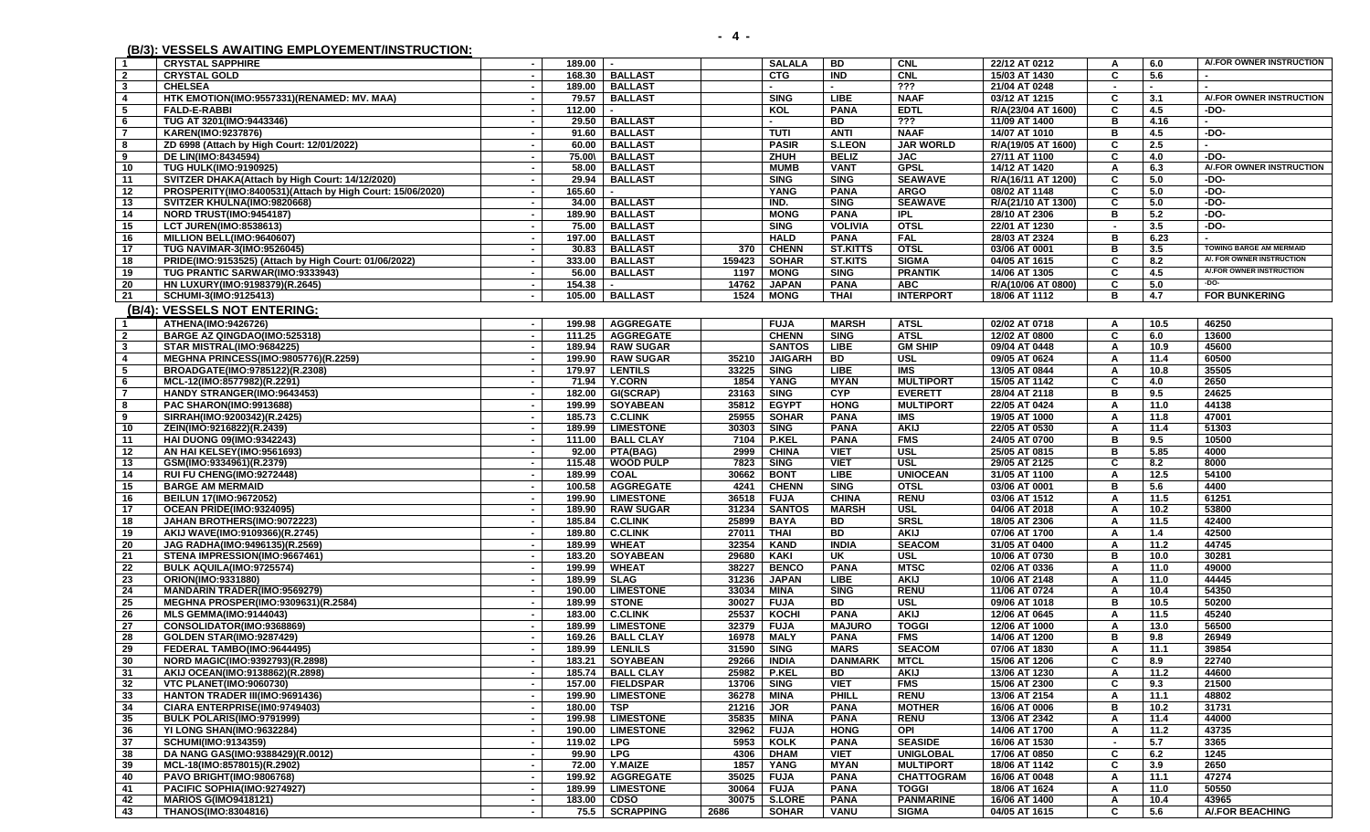**(B/3): VESSELS AWAITING EMPLOYEMENT/INSTRUCTION:** 

**1 CRYSTAL SAPPHIRE - 189.00 - SALALA BD CNL 22/12 AT 0212 A 6.0 A/.FOR OWNER INSTRUCTION**

**2 CRYSTAL GOLD - 168.30 BALLAST CTG IND CNL 15/03 AT 1430 C 5.6 -** 

| -3                      | <b>CHELSEA</b>                                            |                          |               | 189.00   BALLAST   |              |                |                 | ???               | 21/04 AT 0248      |                          |      |                                |
|-------------------------|-----------------------------------------------------------|--------------------------|---------------|--------------------|--------------|----------------|-----------------|-------------------|--------------------|--------------------------|------|--------------------------------|
| $\overline{4}$          | HTK EMOTION(IMO:9557331)(RENAMED: MV. MAA)                | $\overline{\phantom{a}}$ | 79.57         | <b>BALLAST</b>     |              | <b>SING</b>    | <b>LIBE</b>     | <b>NAAF</b>       | 03/12 AT 1215      | C                        | 3.1  | A/.FOR OWNER INSTRUCTION       |
| - 5                     | <b>FALD-E-RABBI</b>                                       | $\sim$                   | 112.00        |                    |              | KOL            | <b>PANA</b>     | <b>EDTL</b>       | R/A(23/04 AT 1600) | C                        | 4.5  | -DO-                           |
| - 6                     | TUG AT 3201(IMO:9443346)                                  | $\blacksquare$           |               | 29.50   BALLAST    |              |                | <b>BD</b>       | 777               | 11/09 AT 1400      | в                        | 4.16 |                                |
| $\overline{7}$          | KAREN(IMO:9237876)                                        | $\sim$                   |               | 91.60 BALLAST      |              | <b>TUTI</b>    | <b>ANTI</b>     | <b>NAAF</b>       | 14/07 AT 1010      | B                        | 4.5  | $-DO-$                         |
| 8                       | ZD 6998 (Attach by High Court: 12/01/2022)                | $\sim$                   |               | 60.00   BALLAST    |              | <b>PASIR</b>   | <b>S.LEON</b>   | <b>JAR WORLD</b>  | R/A(19/05 AT 1600) | C                        | 2.5  | ÷.                             |
| - 9                     | DE LIN(IMO:8434594)                                       | $\sim$                   |               | 75.00\ BALLAST     |              | ZHUH           | <b>BELIZ</b>    | <b>JAC</b>        | 27/11 AT 1100      | C                        | 4.0  | $-DO-$                         |
| 10                      | <b>TUG HULK(IMO:9190925)</b>                              |                          |               | 58.00   BALLAST    |              | <b>MUMB</b>    | <b>VANT</b>     | <b>GPSL</b>       | 14/12 AT 1420      | $\mathbf{A}$             | 6.3  | A/.FOR OWNER INSTRUCTION       |
| - 11                    | SVITZER DHAKA(Attach by High Court: 14/12/2020)           | $\blacksquare$           |               | 29.94   BALLAST    |              | <b>SING</b>    | <b>SING</b>     | <b>SEAWAVE</b>    | R/A(16/11 AT 1200) | $\overline{c}$           | 5.0  | -DO-                           |
| 12                      | PROSPERITY(IMO:8400531)(Attach by High Court: 15/06/2020) | $\blacksquare$           | 165.60        |                    |              | YANG           | <b>PANA</b>     | <b>ARGO</b>       | 08/02 AT 1148      | C                        | 5.0  | -DO-                           |
| 13                      | SVITZER KHULNA(IMO:9820668)                               | $\sim$                   |               | 34.00   BALLAST    |              | IND.           | <b>SING</b>     | <b>SEAWAVE</b>    | R/A(21/10 AT 1300) | C                        | 5.0  | -DO-                           |
| 14                      | NORD TRUST(IMO:9454187)                                   | $\sim$                   |               | 189.90   BALLAST   |              | <b>MONG</b>    | <b>PANA</b>     | <b>IPL</b>        | 28/10 AT 2306      | в                        | 5.2  | -DO-                           |
| 15                      | <b>LCT JUREN(IMO:8538613)</b>                             | $\sim$                   |               | 75.00   BALLAST    |              | <b>SING</b>    | <b>VOLIVIA</b>  | <b>OTSI</b>       | 22/01 AT 1230      |                          | 3.5  | -DO-                           |
|                         | MILLION BELL(IMO:9640607)                                 | $\sim$                   | 197.00        | <b>BALLAST</b>     |              | <b>HALD</b>    | <b>PANA</b>     | <b>FAL</b>        | 28/03 AT 2324      | в                        | 6.23 | ÷.                             |
| 16                      |                                                           |                          |               |                    |              |                |                 | <b>OTSL</b>       |                    | в                        |      | <b>TOWING BARGE AM MERMAID</b> |
| 17                      | <b>TUG NAVIMAR-3(IMO:9526045)</b>                         | $\sim$                   |               | 30.83   BALLAST    | 370          | <b>CHENN</b>   | <b>ST.KITTS</b> |                   | 03/06 AT 0001      |                          | 3.5  | A/. FOR OWNER INSTRUCTION      |
| 18                      | PRIDE(IMO:9153525) (Attach by High Court: 01/06/2022)     | $\sim$                   |               | 333.00 BALLAST     | 159423       | <b>SOHAR</b>   | <b>ST.KITS</b>  | <b>SIGMA</b>      | 04/05 AT 1615      | C                        | 8.2  | A/.FOR OWNER INSTRUCTION       |
| 19                      | TUG PRANTIC SARWAR(IMO:9333943)                           | $\blacksquare$           |               | 56.00   BALLAST    | 1197         | <b>MONG</b>    | <b>SING</b>     | <b>PRANTIK</b>    | 14/06 AT 1305      | C                        | 4.5  | $-DO-$                         |
| 20                      | HN LUXURY(IMO:9198379)(R.2645)                            | $\sim$                   | 154.38        | $\sim$             | 14762        | <b>JAPAN</b>   | <b>PANA</b>     | <b>ABC</b>        | R/A(10/06 AT 0800) | C                        | 5.0  |                                |
| 21                      | SCHUMI-3(IMO:9125413)                                     | $\sim$                   |               | 105.00   BALLAST   | 1524         | <b>MONG</b>    | <b>THAI</b>     | <b>INTERPORT</b>  | 18/06 AT 1112      | в                        | 4.7  | <b>FOR BUNKERING</b>           |
|                         | (B/4): VESSELS NOT ENTERING:                              |                          |               |                    |              |                |                 |                   |                    |                          |      |                                |
| $\overline{1}$          | ATHENA(IMO:9426726)                                       | $\sim$                   |               | 199.98   AGGREGATE |              | <b>FUJA</b>    | <b>MARSH</b>    | <b>ATSL</b>       | 02/02 AT 0718      | A                        | 10.5 | 46250                          |
| $\overline{\mathbf{2}}$ | BARGE AZ QINGDAO(IMO:525318)                              | $\sim$                   |               | 111.25   AGGREGATE |              | <b>CHENN</b>   | <b>SING</b>     | <b>ATSL</b>       | 12/02 AT 0800      | C                        | 6.0  | 13600                          |
| $\mathbf{3}$            | STAR MISTRAL(IMO:9684225)                                 | $\sim$                   |               | 189.94   RAW SUGAR |              | <b>SANTOS</b>  | <b>LIBE</b>     | <b>GM SHIP</b>    | 09/04 AT 0448      | A                        | 10.9 | 45600                          |
| -4                      | MEGHNA PRINCESS(IMO:9805776)(R.2259)                      | $\sim$                   |               | 199.90 RAW SUGAR   | 35210        | <b>JAIGARH</b> | <b>BD</b>       | USL               | 09/05 AT 0624      | Α                        | 11.4 | 60500                          |
| - 5                     | BROADGATE(IMO:9785122)(R.2308)                            | $\sim$                   |               | 179.97   LENTILS   | 33225        | <b>SING</b>    | <b>LIBE</b>     | <b>IMS</b>        | 13/05 AT 0844      | A                        | 10.8 | 35505                          |
| - 6                     | MCL-12(IMO:8577982)(R.2291)                               | $\blacksquare$           |               | 71.94   Y.CORN     | 1854         | YANG           | <b>MYAN</b>     | <b>MULTIPORT</b>  | 15/05 AT 1142      | C                        | 4.0  | 2650                           |
| $\overline{7}$          | HANDY STRANGER(IMO:9643453)                               | $\sim$                   |               | 182.00 GI(SCRAP)   | 23163        | <b>SING</b>    | <b>CYP</b>      | <b>EVERETT</b>    | 28/04 AT 2118      | в                        | 9.5  | 24625                          |
| -8                      | PAC SHARON(IMO:9913688)                                   | $\overline{\phantom{a}}$ |               | 199.99 SOYABEAN    | 35812        | <b>EGYPT</b>   | <b>HONG</b>     | <b>MULTIPORT</b>  | 22/05 AT 0424      | A                        | 11.0 | 44138                          |
| - 9                     | SIRRAH(IMO:9200342)(R.2425)                               | $\sim$                   |               | 185.73 C.CLINK     | 25955        | <b>SOHAR</b>   | <b>PANA</b>     | <b>IMS</b>        | 19/05 AT 1000      | $\overline{A}$           | 11.8 | 47001                          |
| 10                      | ZEIN(IMO:9216822)(R.2439)                                 | $\blacksquare$           |               | 189.99   LIMESTONE | 30303        | <b>SING</b>    | <b>PANA</b>     | <b>AKIJ</b>       | 22/05 AT 0530      | $\mathbf{A}$             | 11.4 | 51303                          |
| 11                      | <b>HAI DUONG 09(IMO:9342243)</b>                          | $\sim$                   |               | 111.00   BALL CLAY | 7104         | <b>P.KEL</b>   | <b>PANA</b>     | <b>FMS</b>        | 24/05 AT 0700      | B                        | 9.5  | 10500                          |
| 12                      | AN HAI KELSEY(IMO:9561693)                                | $\overline{\phantom{a}}$ |               | 92.00   PTA(BAG)   | 2999         | <b>CHINA</b>   | <b>VIET</b>     | USL               | 25/05 AT 0815      | в                        | 5.85 | 4000                           |
| -13                     | GSM(IMO:9334961)(R.2379)                                  |                          | 115.48        | <b>WOOD PULP</b>   | 7823         | <b>SING</b>    | <b>VIET</b>     | <b>USL</b>        | 29/05 AT 2125      | C                        | 8.2  | 8000                           |
|                         |                                                           | $\sim$<br>$\sim$         |               |                    |              |                | <b>LIBE</b>     | <b>UNIOCEAN</b>   |                    | A                        | 12.5 | 54100                          |
| 14                      | RUI FU CHENG(IMO:9272448)                                 |                          | 189.99 COAL   |                    | 30662        | <b>BONT</b>    | <b>SING</b>     | <b>OTSL</b>       | 31/05 AT 1100      | в                        | 5.6  | 4400                           |
| 15                      | <b>BARGE AM MERMAID</b>                                   | $\sim$<br>$\sim$         |               | 100.58   AGGREGATE | 4241         | <b>CHENN</b>   |                 |                   | 03/06 AT 0001      |                          |      |                                |
| 16                      | BEILUN 17(IMO:9672052)                                    |                          |               | 199.90   LIMESTONE | 36518        | <b>FUJA</b>    | <b>CHINA</b>    | <b>RENU</b>       | 03/06 AT 1512      | Α                        | 11.5 | 61251                          |
| 17                      | OCEAN PRIDE(IMO:9324095)                                  |                          |               | 189.90   RAW SUGAR | 31234        | <b>SANTOS</b>  | <b>MARSH</b>    | <b>USL</b>        | 04/06 AT 2018      | A                        | 10.2 | 53800                          |
| 18                      | JAHAN BROTHERS(IMO:9072223)                               | $\sim$                   |               | 185.84 C.CLINK     | 25899        | <b>BAYA</b>    | BD              | <b>SRSL</b>       | 18/05 AT 2306      | $\overline{\mathsf{A}}$  | 11.5 | 42400                          |
| 19                      | AKIJ WAVE(IMO:9109366)(R.2745)                            | $\blacksquare$           |               | 189.80 C.CLINK     | 27011        | <b>THAI</b>    | <b>BD</b>       | <b>AKIJ</b>       | 07/06 AT 1700      | A                        | 1.4  | 42500                          |
| 20                      | JAG RADHA(IMO:9496135)(R.2569)                            | $\blacksquare$           |               | 189.99   WHEAT     | 32354        | <b>KAND</b>    | <b>INDIA</b>    | <b>SEACOM</b>     | 31/05 AT 0400      | A                        | 11.2 | 44745                          |
| 21                      | STENA IMPRESSION(IMO:9667461)                             | $\overline{\phantom{a}}$ |               | 183.20 SOYABEAN    | 29680        | KAKI           | <b>UK</b>       | <b>USL</b>        | 10/06 AT 0730      | B                        | 10.0 | 30281                          |
| 22                      | BULK AQUILA(IMO:9725574)                                  | $\sim$                   |               | 199.99 WHEAT       | 38227        | <b>BENCO</b>   | <b>PANA</b>     | <b>MTSC</b>       | 02/06 AT 0336      | $\mathbf{A}$             | 11.0 | 49000                          |
| 23                      | ORION(IMO:9331880)                                        | $\sim$                   | 189.99   SLAG |                    | 31236        | <b>JAPAN</b>   | <b>LIBE</b>     | <b>AKIJ</b>       | 10/06 AT 2148      | A                        | 11.0 | 44445                          |
| -24                     | <b>MANDARIN TRADER(IMO:9569279)</b>                       | $\sim$                   |               | 190.00   LIMESTONE | 33034        | MINA           | <b>SING</b>     | <b>RENU</b>       | 11/06 AT 0724      | A                        | 10.4 | 54350                          |
| 25                      | MEGHNA PROSPER(IMO:9309631)(R.2584)                       | $\blacksquare$           | 189.99        | <b>STONE</b>       | 30027        | <b>FUJA</b>    | BD              | <b>USL</b>        | 09/06 AT 1018      | в                        | 10.5 | 50200                          |
| 26                      | <b>MLS GEMMA(IMO:9144043)</b>                             | $\blacksquare$           | 183.00        | <b>C.CLINK</b>     | 25537        | KOCHI          | <b>PANA</b>     | <b>AKIJ</b>       | 12/06 AT 0645      | Α                        | 11.5 | 45240                          |
| 27                      | CONSOLIDATOR(IMO:9368869)                                 | $\sim$                   |               | 189.99 LIMESTONE   | 32379        | <b>FUJA</b>    | <b>MAJURO</b>   | <b>TOGGI</b>      | 12/06 AT 1000      | A                        | 13.0 | 56500                          |
| 28                      | GOLDEN STAR(IMO:9287429)                                  | $\sim$                   |               | 169.26   BALL CLAY | 16978        | <b>MALY</b>    | <b>PANA</b>     | <b>FMS</b>        | 14/06 AT 1200      | B                        | 9.8  | 26949                          |
| 29                      | FEDERAL TAMBO(IMO:9644495)                                | $\sim$                   |               | 189.99   LENLILS   | 31590        | <b>SING</b>    | <b>MARS</b>     | <b>SEACOM</b>     | 07/06 AT 1830      | $\mathsf{A}$             | 11.1 | 39854                          |
| 30                      | NORD MAGIC(IMO:9392793)(R.2898)                           | $\overline{\phantom{a}}$ |               | 183.21   SOYABEAN  | 29266        | <b>INDIA</b>   | <b>DANMARK</b>  | <b>MTCL</b>       | 15/06 AT 1206      | C                        | 8.9  | 22740                          |
| 31                      | AKIJ OCEAN(IMO:9138862)(R.2898)                           | $\sim$                   |               | 185.74 BALL CLAY   | 25982        | <b>P.KEL</b>   | BD              | <b>AKIJ</b>       | 13/06 AT 1230      | A                        | 11.2 | 44600                          |
| 32                      | <b>VTC PLANET(IMO:9060730)</b>                            | $\blacksquare$           |               | 157.00   FIELDSPAR | 13706        | <b>SING</b>    | <b>VIET</b>     | <b>FMS</b>        | 15/06 AT 2300      | C                        | 9.3  | 21500                          |
| 33                      | <b>HANTON TRADER III(IMO:9691436)</b>                     | $\sim$                   |               | 199.90 LIMESTONE   | 36278        | MINA           | PHILL           | <b>RENU</b>       | 13/06 AT 2154      | A                        | 11.1 | 48802                          |
| 34                      | CIARA ENTERPRISE(IM0:9749403)                             |                          | 180.00 TSP    |                    | 21216        | <b>JOR</b>     | <b>PANA</b>     | <b>MOTHER</b>     | 16/06 AT 0006      | в                        | 10.2 | 31731                          |
| 35                      | BULK POLARIS(IMO:9791999)                                 | $\sim$                   |               | 199.98   LIMESTONE | 35835        | <b>MINA</b>    | <b>PANA</b>     | <b>RENU</b>       | 13/06 AT 2342      | A                        | 11.4 | 44000                          |
| 36                      | YI LONG SHAN(IMO:9632284)                                 | $\sim$                   |               | 190.00   LIMESTONE | 32962        | <b>FUJA</b>    | <b>HONG</b>     | OPI               | 14/06 AT 1700      | A                        | 11.2 | 43735                          |
| 37                      | SCHUMI(IMO:9134359)                                       | $\sim$                   | 119.02   LPG  |                    | 5953         | <b>KOLK</b>    | <b>PANA</b>     | <b>SEASIDE</b>    | 16/06 AT 1530      | $\overline{\phantom{a}}$ | 5.7  | 3365                           |
| 38                      | DA NANG GAS(IMO:9388429)(R.0012)                          |                          | 99.90 LPG     |                    | 4306         | <b>DHAM</b>    | <b>VIET</b>     | <b>UNIGLOBAL</b>  | 17/06 AT 0850      | C                        | 6.2  | 1245                           |
| 39                      | MCL-18(IMO:8578015)(R.2902)                               |                          |               | 72.00   Y.MAIZE    | 1857         | YANG           | MYAN            | <b>MULTIPORT</b>  | 18/06 AT 1142      | C                        | 3.9  | 2650                           |
| 40                      | PAVO BRIGHT(IMO:9806768)                                  | $\sim$                   |               | 199.92   AGGREGATE | 35025        | <b>FUJA</b>    | <b>PANA</b>     | <b>CHATTOGRAM</b> | 16/06 AT 0048      | A                        | 11.1 | 47274                          |
| 41                      | PACIFIC SOPHIA(IMO:9274927)                               |                          |               | 189.99 LIMESTONE   | 30064   FUJA |                | <b>PANA</b>     | <b>TOGGI</b>      | 18/06 AT 1624      | $\mathbf{A}$             | 11.0 | 50550                          |
|                         |                                                           |                          |               |                    |              |                |                 |                   |                    |                          |      |                                |

**41 PACIFIC SOPHIA(IMO:9274927) - 189.99 LIMESTONE 30064 FUJA PANA TOGGI 18/06 AT 1624 A 11.0 50550** 

**42 MARIOS G(IMO9418121) - 183.00 CDSO 30075 S.LORE PANA PANMARINE 16/06 AT 1400 A 10.4 43965**  43 | THANOS(IMO:8304816) 75.5 | SCRAPPING | 2686 | SOHAR | VANU | SIGMA | 04/05 AT 1615 | C | 5.6 | A/.FOR BEACHING